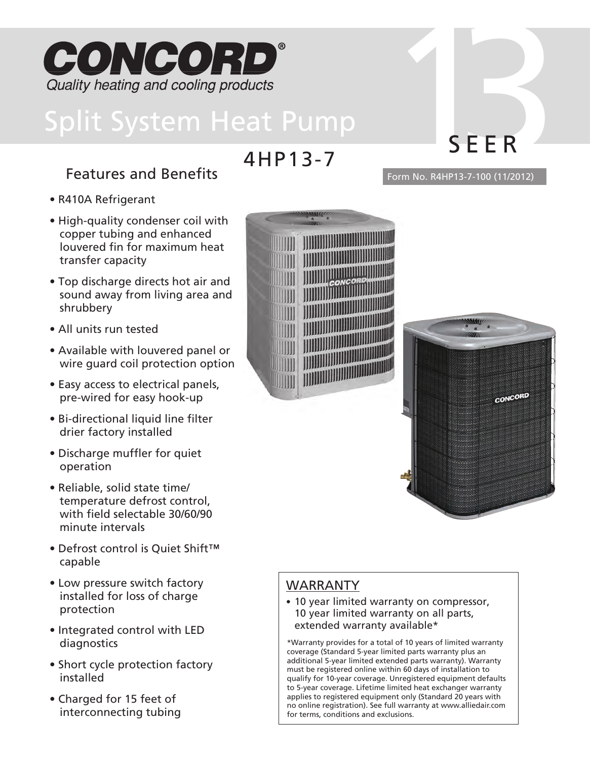

# Features and Benefits Form No. R4HP13-7-100 (11/2012)

- R410A Refrigerant
- High-quality condenser coil with copper tubing and enhanced louvered fin for maximum heat transfer capacity
- Top discharge directs hot air and sound away from living area and shrubbery
- All units run tested
- Available with louvered panel or wire guard coil protection option
- Easy access to electrical panels, pre-wired for easy hook-up
- Bi-directional liquid line filter drier factory installed
- Discharge muffler for quiet operation
- Reliable, solid state time/ temperature defrost control, with field selectable 30/60/90 minute intervals
- Defrost control is Quiet Shift™ capable
- Low pressure switch factory installed for loss of charge protection
- Integrated control with LED diagnostics
- Short cycle protection factory installed
- Charged for 15 feet of interconnecting tubing



4HP13-7



## WARRANTY

• 10 year limited warranty on compressor, 10 year limited warranty on all parts, extended warranty available\*

\*Warranty provides for a total of 10 years of limited warranty coverage (Standard 5-year limited parts warranty plus an additional 5-year limited extended parts warranty). Warranty must be registered online within 60 days of installation to qualify for 10-year coverage. Unregistered equipment defaults to 5-year coverage. Lifetime limited heat exchanger warranty applies to registered equipment only (Standard 20 years with no online registration). See full warranty at www.alliedair.com for terms, conditions and exclusions.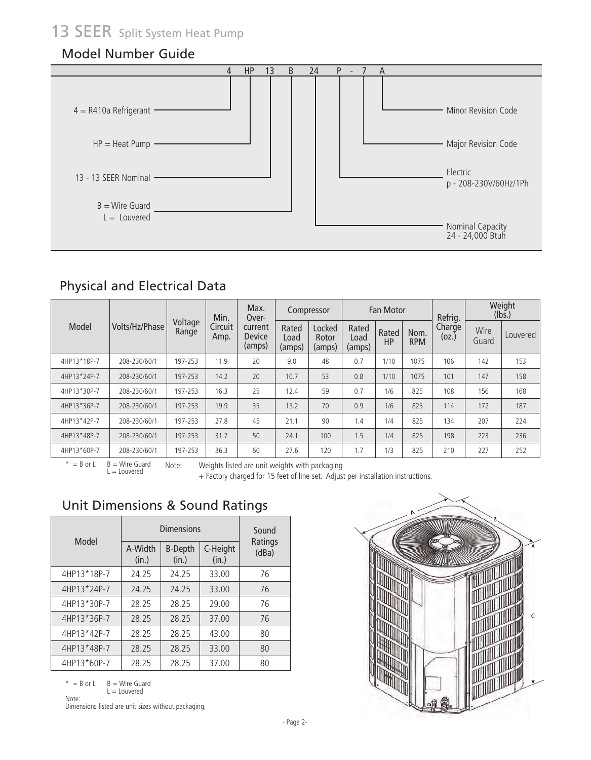# 13 SEER split System Heat Pump

#### Model Number Guide



#### Physical and Electrical Data

|             |                |                  | Min.            | Max.<br>Over-               |                         | Compressor                |                         | <b>Fan Motor</b> |                    | Refrig.         |               | Weight<br>(lbs.) |
|-------------|----------------|------------------|-----------------|-----------------------------|-------------------------|---------------------------|-------------------------|------------------|--------------------|-----------------|---------------|------------------|
| Model       | Volts/Hz/Phase | Voltage<br>Range | Circuit<br>Amp. | current<br>Device<br>(amps) | Rated<br>Load<br>(amps) | Locked<br>Rotor<br>(amps) | Rated<br>Load<br>(amps) | Rated<br>HP      | Nom.<br><b>RPM</b> | Charge<br>(oz.) | Wire<br>Guard | Louvered         |
| 4HP13*18P-7 | 208-230/60/1   | 197-253          | 11.9            | 20                          | 9.0                     | 48                        | 0.7                     | 1/10             | 1075               | 106             | 142           | 153              |
| 4HP13*24P-7 | 208-230/60/1   | 197-253          | 14.2            | 20                          | 10.7                    | 53                        | 0.8                     | 1/10             | 1075               | 101             | 147           | 158              |
| 4HP13*30P-7 | 208-230/60/1   | 197-253          | 16.3            | 25                          | 12.4                    | 59                        | 0.7                     | 1/6              | 825                | 108             | 156           | 168              |
| 4HP13*36P-7 | 208-230/60/1   | 197-253          | 19.9            | 35                          | 15.2                    | 70                        | 0.9                     | 1/6              | 825                | 114             | 172           | 187              |
| 4HP13*42P-7 | 208-230/60/1   | 197-253          | 27.8            | 45                          | 21.1                    | 90                        | 1.4                     | 1/4              | 825                | 134             | 207           | 224              |
| 4HP13*48P-7 | 208-230/60/1   | 197-253          | 31.7            | 50                          | 24.1                    | 100                       | 1.5                     | 1/4              | 825                | 198             | 223           | 236              |
| 4HP13*60P-7 | 208-230/60/1   | 197-253          | 36.3            | 60                          | 27.6                    | 120                       | 1.7                     | 1/3              | 825                | 210             | 227           | 252              |

 $*$  = B or L  $B =$  Wire Guard  $L =$  Louvered

Note: Weights listed are unit weights with packaging

+ Factory charged for 15 feet of line set. Adjust per installation instructions.

## Unit Dimensions & Sound Ratings

|             |                  | <b>Dimensions</b>       |                   | Sound            |
|-------------|------------------|-------------------------|-------------------|------------------|
| Model       | A-Width<br>(in.) | <b>B-Depth</b><br>(in.) | C-Height<br>(in.) | Ratings<br>(dBa) |
| 4HP13*18P-7 | 24.25            | 24.25                   | 33.00             | 76               |
| 4HP13*24P-7 | 24.25            | 24.25                   | 33.00             | 76               |
| 4HP13*30P-7 | 28.25            | 28.25                   | 29.00             | 76               |
| 4HP13*36P-7 | 28.25            | 28.25                   | 37.00             | 76               |
| 4HP13*42P-7 | 28.25            | 28.25                   | 43.00             | 80               |
| 4HP13*48P-7 | 28.25            | 28.25                   | 33.00             | 80               |
| 4HP13*60P-7 | 28.25            | 28.25                   | 37.00             | 80               |
|             |                  |                         |                   |                  |

 $*$  = B or L B = Wire Guard L = Louvered

Note:

Dimensions listed are unit sizes without packaging.

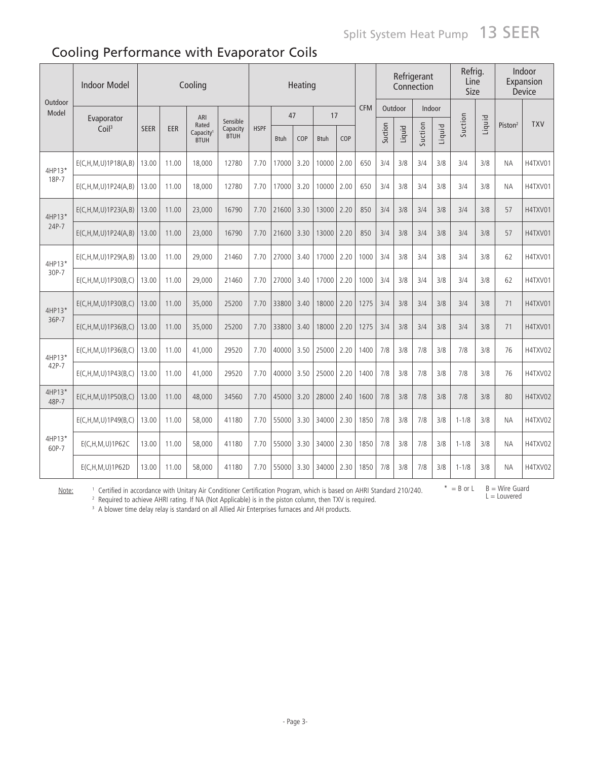# Cooling Performance with Evaporator Coils

|                  | <b>Indoor Model</b>        |             |       | Cooling                                       |                                     |             |             | Heating |             |      |            |         |         | Refrigerant<br>Connection |        | Refrig.<br>Line<br>Size |        |                     | Indoor<br>Expansion<br>Device |
|------------------|----------------------------|-------------|-------|-----------------------------------------------|-------------------------------------|-------------|-------------|---------|-------------|------|------------|---------|---------|---------------------------|--------|-------------------------|--------|---------------------|-------------------------------|
| Outdoor<br>Model | Evaporator                 |             |       | ARI                                           |                                     |             | 47          |         | 17          |      | <b>CFM</b> |         | Outdoor |                           | Indoor |                         |        |                     |                               |
|                  | Coil <sup>3</sup>          | <b>SEER</b> | EER   | Rated<br>Capacity <sup>1</sup><br><b>BTUH</b> | Sensible<br>Capacity<br><b>BTUH</b> | <b>HSPF</b> | <b>Btuh</b> | COP     | <b>Btuh</b> | COP  |            | Suction | Liquid  | Suction                   | Liquid | Suction                 | Liquid | Piston <sup>2</sup> | <b>TXV</b>                    |
| 4HP13*           | E(C, H, M, U) 1P18(A, B)   | 13.00       | 11.00 | 18,000                                        | 12780                               | 7.70        | 17000       | 3.20    | 10000       | 2.00 | 650        | 3/4     | 3/8     | 3/4                       | 3/8    | 3/4                     | 3/8    | ΝA                  | H4TXV01                       |
| 18P-7            | E(C, H, M, U) 1P24(A, B)   | 13.00       | 11.00 | 18,000                                        | 12780                               | 7.70        | 17000       | 3.20    | 10000       | 2.00 | 650        | 3/4     | 3/8     | 3/4                       | 3/8    | 3/4                     | 3/8    | <b>NA</b>           | H4TXV01                       |
| 4HP13*           | E(C, H, M, U) 1P23(A, B)   | 13.00       | 11.00 | 23,000                                        | 16790                               | 7.70        | 21600       | 3.30    | 13000       | 2.20 | 850        | 3/4     | 3/8     | 3/4                       | 3/8    | 3/4                     | 3/8    | 57                  | H4TXV01                       |
| 24P-7            | E(C, H, M, U) 1P24(A, B)   | 13.00       | 11.00 | 23,000                                        | 16790                               | 7.70        | 21600       | 3.30    | 13000       | 2.20 | 850        | 3/4     | 3/8     | 3/4                       | 3/8    | 3/4                     | 3/8    | 57                  | H4TXV01                       |
| 4HP13*           | E(C, H, M, U) 1P29(A, B)   | 13.00       | 11.00 | 29,000                                        | 21460                               | 7.70        | 27000       | 3.40    | 17000       | 2.20 | 1000       | 3/4     | 3/8     | 3/4                       | 3/8    | 3/4                     | 3/8    | 62                  | H4TXV01                       |
| 30P-7            | E(C, H, M, U) 1P30(B, C)   | 13.00       | 11.00 | 29,000                                        | 21460                               | 7.70        | 27000       | 3.40    | 17000       | 2.20 | 1000       | 3/4     | 3/8     | 3/4                       | 3/8    | 3/4                     | 3/8    | 62                  | H4TXV01                       |
| 4HP13*           | E(C, H, M, U) 1P30(B, C)   | 13.00       | 11.00 | 35,000                                        | 25200                               | 7.70        | 33800       | 3.40    | 18000       | 2.20 | 1275       | 3/4     | 3/8     | 3/4                       | 3/8    | 3/4                     | 3/8    | 71                  | H4TXV01                       |
| 36P-7            | E(C, H, M, U) 1P36(B, C)   | 13.00       | 11.00 | 35,000                                        | 25200                               | 7.70        | 33800       | 3.40    | 18000       | 2.20 | 1275       | 3/4     | 3/8     | 3/4                       | 3/8    | 3/4                     | 3/8    | 71                  | H4TXV01                       |
| 4HP13*           | E(C, H, M, U) 1P36(B, C)   | 13.00       | 11.00 | 41,000                                        | 29520                               | 7.70        | 40000       | 3.50    | 25000       | 2.20 | 1400       | 7/8     | 3/8     | 7/8                       | 3/8    | 7/8                     | 3/8    | 76                  | H4TXV02                       |
| 42P-7            | E(C, H, M, U) 1P43(B, C)   | 13.00       | 11.00 | 41,000                                        | 29520                               | 7.70        | 40000       | 3.50    | 25000       | 2.20 | 1400       | 7/8     | 3/8     | 7/8                       | 3/8    | 7/8                     | 3/8    | 76                  | H4TXV02                       |
| 4HP13*<br>48P-7  | E(C, H, M, U) 1 P 50(B, C) | 13.00       | 11.00 | 48,000                                        | 34560                               | 7.70        | 45000       | 3.20    | 28000       | 2.40 | 1600       | 7/8     | 3/8     | 7/8                       | 3/8    | 7/8                     | 3/8    | 80                  | H4TXV02                       |
|                  | E(C, H, M, U) 1P49(B, C)   | 13.00       | 11.00 | 58,000                                        | 41180                               | 7.70        | 55000       | 3.30    | 34000       | 2.30 | 1850       | 7/8     | 3/8     | 7/8                       | 3/8    | $1 - 1/8$               | 3/8    | <b>NA</b>           | H4TXV02                       |
| 4HP13*<br>60P-7  | E(C,H,M,U)1P62C            | 13.00       | 11.00 | 58,000                                        | 41180                               | 7.70        | 55000       | 3.30    | 34000       | 2.30 | 1850       | 7/8     | 3/8     | 7/8                       | 3/8    | $1 - 1/8$               | 3/8    | ΝA                  | H4TXV02                       |
|                  | $E(C, H, M, U)$ 1P62D      | 13.00       | 11.00 | 58,000                                        | 41180                               | 7.70        | 55000       | 3.30    | 34000       | 2.30 | 1850       | 7/8     | 3/8     | 7/8                       | 3/8    | $1 - 1/8$               | 3/8    | <b>NA</b>           | H4TXV02                       |

Note:

<sup>1</sup> Certified in accordance with Unitary Air Conditioner Certification Program, which is based on AHRI Standard 210/240.

 $*$  = B or L B = Wire Guard  $L =$  Louvered

<sup>2</sup> Required to achieve AHRI rating. If NA (Not Applicable) is in the piston column, then TXV is required.<br><sup>3</sup> A blower time delay relay is standard on all Allied Air Enterprises furnaces and AH products.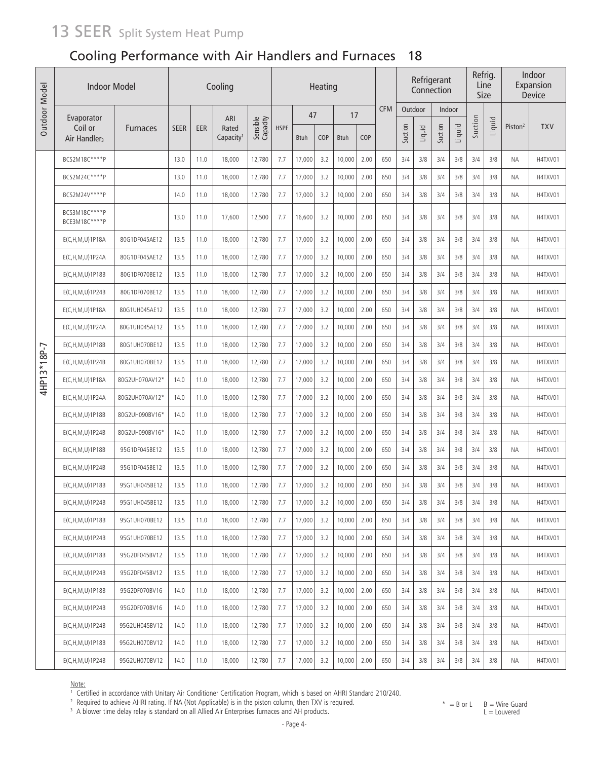# 13 SEER Split System Heat Pump

## Cooling Performance with Air Handlers and Furnaces 18

| Outdoor Model |                                     | <b>Indoor Model</b><br>Cooling<br>Heating |             |            |                                |                      |             |             |            |             |      |            | Refrigerant<br>Connection |        | Refrig.<br>Line<br>Size |        |         | Indoor<br>Expansion<br>Device |                     |            |
|---------------|-------------------------------------|-------------------------------------------|-------------|------------|--------------------------------|----------------------|-------------|-------------|------------|-------------|------|------------|---------------------------|--------|-------------------------|--------|---------|-------------------------------|---------------------|------------|
|               | Evaporator                          |                                           |             |            | ARI                            |                      |             | 47          |            | 17          |      | <b>CFM</b> | Outdoor                   |        | Indoor                  |        |         |                               |                     |            |
|               | Coil or<br>Air Handler <sub>3</sub> | <b>Furnaces</b>                           | <b>SEER</b> | <b>EER</b> | Rated<br>Capacity <sup>1</sup> | Sensible<br>Capacity | <b>HSPF</b> | <b>Btuh</b> | <b>COP</b> | <b>Btuh</b> | COP  |            | Suction                   | Liquid | Suction                 | Liquid | Suction | Liquid                        | Piston <sup>2</sup> | <b>TXV</b> |
|               | BCS2M18C****P                       |                                           | 13.0        | 11.0       | 18,000                         | 12,780               | 7.7         | 17,000      | 3.2        | 10,000      | 2.00 | 650        | 3/4                       | 3/8    | 3/4                     | 3/8    | 3/4     | 3/8                           | ΝA                  | H4TXV01    |
|               | BCS2M24C****P                       |                                           | 13.0        | 11.0       | 18,000                         | 12,780               | 7.7         | 17,000      | 3.2        | 10,000      | 2.00 | 650        | 3/4                       | 3/8    | 3/4                     | 3/8    | 3/4     | 3/8                           | ΝA                  | H4TXV01    |
|               | BCS2M24V****P                       |                                           | 14.0        | 11.0       | 18,000                         | 12,780               | 7.7         | 17,000      | 3.2        | 10,000      | 2.00 | 650        | 3/4                       | 3/8    | 3/4                     | 3/8    | 3/4     | 3/8                           | ΝA                  | H4TXV01    |
|               | BCS3M18C****P<br>BCE3M18C****P      |                                           | 13.0        | 11.0       | 17,600                         | 12,500               | 7.7         | 16,600      | 3.2        | 10,000      | 2.00 | 650        | 3/4                       | 3/8    | 3/4                     | 3/8    | 3/4     | 3/8                           | ΝA                  | H4TXV01    |
|               | E(C, H, M, U) 1P 18A                | 80G1DF045AE12                             | 13.5        | 11.0       | 18,000                         | 12,780               | 7.7         | 17,000      | 3.2        | 10,000      | 2.00 | 650        | 3/4                       | 3/8    | 3/4                     | 3/8    | 3/4     | 3/8                           | ΝA                  | H4TXV01    |
|               | E(C,H,M,U)1P24A                     | 80G1DF045AE12                             | 13.5        | 11.0       | 18,000                         | 12,780               | 7.7         | 17,000      | 3.2        | 10,000      | 2.00 | 650        | 3/4                       | 3/8    | 3/4                     | 3/8    | 3/4     | 3/8                           | ΝA                  | H4TXV01    |
|               | E(C, H, M, U) 1P18B                 | 80G1DF070BE12                             | 13.5        | 11.0       | 18,000                         | 12,780               | 7.7         | 17,000      | 3.2        | 10,000      | 2.00 | 650        | 3/4                       | 3/8    | 3/4                     | 3/8    | 3/4     | 3/8                           | ΝA                  | H4TXV01    |
|               | E(C, H, M, U) 1P24B                 | 80G1DF070BE12                             | 13.5        | 11.0       | 18,000                         | 12,780               | 7.7         | 17,000      | 3.2        | 10,000      | 2.00 | 650        | 3/4                       | 3/8    | 3/4                     | 3/8    | 3/4     | 3/8                           | ΝA                  | H4TXV01    |
|               | E(C,H,M,U)1P18A                     | 80G1UH045AE12                             | 13.5        | 11.0       | 18,000                         | 12,780               | 7.7         | 17,000      | 3.2        | 10,000      | 2.00 | 650        | 3/4                       | 3/8    | 3/4                     | 3/8    | 3/4     | 3/8                           | ΝA                  | H4TXV01    |
|               | E(C, H, M, U) 1P24A                 | 80G1UH045AE12                             | 13.5        | 11.0       | 18,000                         | 12,780               | 7.7         | 17,000      | 3.2        | 10,000      | 2.00 | 650        | 3/4                       | 3/8    | 3/4                     | 3/8    | 3/4     | 3/8                           | ΝA                  | H4TXV01    |
|               | E(C,H,M,U)1P18B                     | 80G1UH070BE12                             | 13.5        | 11.0       | 18,000                         | 12,780               | 7.7         | 17,000      | 3.2        | 10,000      | 2.00 | 650        | 3/4                       | 3/8    | 3/4                     | 3/8    | 3/4     | 3/8                           | ΝA                  | H4TXV01    |
| 4HP13*18P-7   | E(C,H,M,U)1P24B                     | 80G1UH070BE12                             | 13.5        | 11.0       | 18,000                         | 12,780               | 7.7         | 17,000      | 3.2        | 10,000      | 2.00 | 650        | 3/4                       | 3/8    | 3/4                     | 3/8    | 3/4     | 3/8                           | ΝA                  | H4TXV01    |
|               | E(C, H, M, U) 1P18A                 | 80G2UH070AV12*                            | 14.0        | 11.0       | 18,000                         | 12,780               | 7.7         | 17,000      | 3.2        | 10,000      | 2.00 | 650        | 3/4                       | 3/8    | 3/4                     | 3/8    | 3/4     | 3/8                           | ΝA                  | H4TXV01    |
|               | E(C,H,M,U)1P24A                     | 80G2UH070AV12*                            | 14.0        | 11.0       | 18,000                         | 12,780               | 7.7         | 17,000      | 3.2        | 10,000      | 2.00 | 650        | 3/4                       | 3/8    | 3/4                     | 3/8    | 3/4     | 3/8                           | ΝA                  | H4TXV01    |
|               | E(C, H, M, U) 1P 18B                | 80G2UH090BV16*                            | 14.0        | 11.0       | 18,000                         | 12,780               | 7.7         | 17,000      | 3.2        | 10,000      | 2.00 | 650        | 3/4                       | 3/8    | 3/4                     | 3/8    | 3/4     | 3/8                           | ΝA                  | H4TXV01    |
|               | E(C, H, M, U) 1P24B                 | 80G2UH090BV16*                            | 14.0        | 11.0       | 18,000                         | 12,780               | 7.7         | 17,000      | 3.2        | 10,000      | 2.00 | 650        | 3/4                       | 3/8    | 3/4                     | 3/8    | 3/4     | 3/8                           | ΝA                  | H4TXV01    |
|               | E(C, H, M, U) 1P18B                 | 95G1DF045BE12                             | 13.5        | 11.0       | 18,000                         | 12,780               | 7.7         | 17,000      | 3.2        | 10,000      | 2.00 | 650        | 3/4                       | 3/8    | 3/4                     | 3/8    | 3/4     | 3/8                           | ΝA                  | H4TXV01    |
|               | E(C, H, M, U) 1P24B                 | 95G1DF045BE12                             | 13.5        | 11.0       | 18,000                         | 12,780               | 7.7         | 17,000      | 3.2        | 10,000      | 2.00 | 650        | 3/4                       | 3/8    | 3/4                     | 3/8    | 3/4     | 3/8                           | ΝA                  | H4TXV01    |
|               | E(C,H,M,U)1P18B                     | 95G1UH045BE12                             | 13.5        | 11.0       | 18,000                         | 12,780               | 7.7         | 17,000      | 3.2        | 10,000      | 2.00 | 650        | 3/4                       | 3/8    | 3/4                     | 3/8    | 3/4     | 3/8                           | NA                  | H4TXV01    |
|               | $E(C, H, M, U)$ 1P24B               | 95G1UH045BE12                             | 13.5        | 11.0       | 18,000                         | 12,780               | 7.7         | 17,000      | 3.2        | 10,000      | 2.00 | 650        | 3/4                       | 3/8    | 3/4                     | 3/8    | 3/4     | 3/8                           | NA.                 | H4TXV01    |
|               | $E(C, H, M, U)$ 1P18B               | 95G1UH070BE12                             | 13.5        | 11.0       | 18,000                         | 12,780               | 7.7         | 17,000      | 3.2        | 10,000      | 2.00 | 650        | 3/4                       | 3/8    | 3/4                     | 3/8    | 3/4     | 3/8                           | ΝA                  | H4TXV01    |
|               | $E(C, H, M, U)$ 1P24B               | 95G1UH070BE12                             | 13.5        | 11.0       | 18,000                         | 12,780               | 7.7         | 17,000      | 3.2        | 10,000      | 2.00 | 650        | 3/4                       | 3/8    | 3/4                     | 3/8    | 3/4     | 3/8                           | ΝA                  | H4TXV01    |
|               | $E(C, H, M, U)$ 1P18B               | 95G2DF045BV12                             | 13.5        | 11.0       | 18,000                         | 12,780               | 7.7         | 17,000      | 3.2        | 10,000      | 2.00 | 650        | 3/4                       | 3/8    | 3/4                     | 3/8    | 3/4     | 3/8                           | ΝA                  | H4TXV01    |
|               | E(C, H, M, U) 1P24B                 | 95G2DF045BV12                             | 13.5        | 11.0       | 18,000                         | 12,780               | 7.7         | 17,000      | 3.2        | 10,000      | 2.00 | 650        | 3/4                       | 3/8    | 3/4                     | 3/8    | 3/4     | 3/8                           | ΝA                  | H4TXV01    |
|               | $E(C, H, M, U)$ 1P18B               | 95G2DF070BV16                             | 14.0        | 11.0       | 18,000                         | 12,780               | 7.7         | 17,000      | 3.2        | 10,000      | 2.00 | 650        | 3/4                       | 3/8    | 3/4                     | 3/8    | 3/4     | 3/8                           | ΝA                  | H4TXV01    |
|               | E(C, H, M, U) 1P24B                 | 95G2DF070BV16                             | 14.0        | 11.0       | 18,000                         | 12,780               | 7.7         | 17,000      | 3.2        | 10,000      | 2.00 | 650        | 3/4                       | 3/8    | 3/4                     | 3/8    | 3/4     | 3/8                           | ΝA                  | H4TXV01    |
|               | E(C, H, M, U) 1P24B                 | 95G2UH045BV12                             | 14.0        | 11.0       | 18,000                         | 12,780               | 7.7         | 17,000      | 3.2        | 10,000      | 2.00 | 650        | 3/4                       | 3/8    | 3/4                     | 3/8    | 3/4     | 3/8                           | ΝA                  | H4TXV01    |
|               | $E(C, H, M, U)$ 1P18B               | 95G2UH070BV12                             | 14.0        | 11.0       | 18,000                         | 12,780               | 7.7         | 17,000      | 3.2        | 10,000      | 2.00 | 650        | 3/4                       | 3/8    | 3/4                     | 3/8    | 3/4     | 3/8                           | ΝA                  | H4TXV01    |
|               | E(C, H, M, U) 1P24B                 | 95G2UH070BV12                             | 14.0        | 11.0       | 18,000                         | 12,780               | 7.7         | 17,000      | 3.2        | 10,000      | 2.00 | 650        | 3/4                       | 3/8    | 3/4                     | 3/8    | 3/4     | 3/8                           | ΝA                  | H4TXV01    |

Note: 1 Certified in accordance with Unitary Air Conditioner Certification Program, which is based on AHRI Standard 210/240.

 $*$  = B or L  $B =$  Wire Guard

<sup>2</sup> Required to achieve AHRI rating. If NA (Not Applicable) is in the piston column, then TXV is required. <sup>3</sup> A blower time delay relay is standard on all Allied Air Enterprises furnaces and AH products.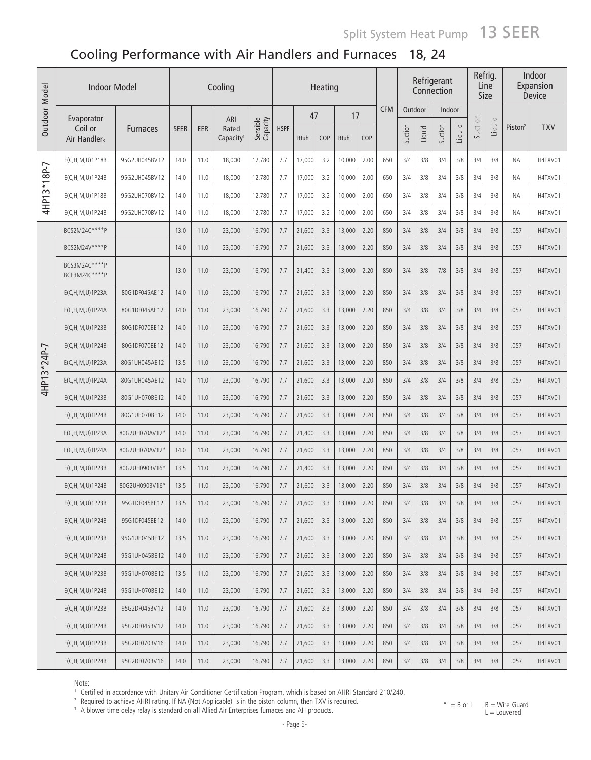# Split System Heat Pump 13 SEER

# Cooling Performance with Air Handlers and Furnaces 18, 24

| Outdoor Model | <b>Indoor Model</b>                 |                 |             |      | Cooling                        |                      |             |             | Heating |             |      |            |         |        | Refrigerant<br>Connection |        | Refrig.<br>Line<br>Size |        |                     | Indoor<br>Expansion<br>Device |
|---------------|-------------------------------------|-----------------|-------------|------|--------------------------------|----------------------|-------------|-------------|---------|-------------|------|------------|---------|--------|---------------------------|--------|-------------------------|--------|---------------------|-------------------------------|
|               | Evaporator                          |                 |             |      | ARI                            |                      |             | 47          |         | 17          |      | <b>CFM</b> | Outdoor |        | Indoor                    |        |                         |        |                     |                               |
|               | Coil or<br>Air Handler <sub>3</sub> | <b>Furnaces</b> | <b>SEER</b> | EER  | Rated<br>Capacity <sup>1</sup> | Sensible<br>Capacity | <b>HSPF</b> | <b>Btuh</b> | COP     | <b>Btuh</b> | COP  |            | Suction | Liquid | Suction                   | Liquid | Suction                 | Liquid | Piston <sup>2</sup> | <b>TXV</b>                    |
|               | E(C,H,M,U)1P18B                     | 95G2UH045BV12   | 14.0        | 11.0 | 18,000                         | 12,780               | 7.7         | 17,000      | 3.2     | 10,000      | 2.00 | 650        | 3/4     | 3/8    | 3/4                       | 3/8    | 3/4                     | 3/8    | ΝA                  | H4TXV01                       |
| 4HP13*18P-7   | E(C,H,M,U)1P24B                     | 95G2UH045BV12   | 14.0        | 11.0 | 18,000                         | 12,780               | 7.7         | 17,000      | 3.2     | 10,000      | 2.00 | 650        | 3/4     | 3/8    | 3/4                       | 3/8    | 3/4                     | 3/8    | ΝA                  | H4TXV01                       |
|               | E(C,H,M,U)1P18B                     | 95G2UH070BV12   | 14.0        | 11.0 | 18,000                         | 12,780               | 7.7         | 17,000      | 3.2     | 10,000      | 2.00 | 650        | 3/4     | 3/8    | 3/4                       | 3/8    | 3/4                     | 3/8    | ΝA                  | H4TXV01                       |
|               | E(C, H, M, U) 1P24B                 | 95G2UH070BV12   | 14.0        | 11.0 | 18,000                         | 12,780               | 7.7         | 17,000      | 3.2     | 10,000      | 2.00 | 650        | 3/4     | 3/8    | 3/4                       | 3/8    | 3/4                     | 3/8    | ΝA                  | H4TXV01                       |
|               | BCS2M24C****P                       |                 | 13.0        | 11.0 | 23,000                         | 16,790               | 7.7         | 21,600      | 3.3     | 13,000      | 2.20 | 850        | 3/4     | 3/8    | 3/4                       | 3/8    | 3/4                     | 3/8    | .057                | H4TXV01                       |
|               | BCS2M24V****P                       |                 | 14.0        | 11.0 | 23,000                         | 16,790               | 7.7         | 21,600      | 3.3     | 13,000      | 2.20 | 850        | 3/4     | 3/8    | 3/4                       | 3/8    | 3/4                     | 3/8    | .057                | H4TXV01                       |
|               | BCS3M24C****P<br>BCE3M24C****P      |                 | 13.0        | 11.0 | 23,000                         | 16,790               | 7.7         | 21,400      | 3.3     | 13,000      | 2.20 | 850        | 3/4     | 3/8    | 7/8                       | 3/8    | 3/4                     | 3/8    | .057                | H4TXV01                       |
|               | E(C, H, M, U) 1P23A                 | 80G1DF045AE12   | 14.0        | 11.0 | 23,000                         | 16,790               | 7.7         | 21,600      | 3.3     | 13,000      | 2.20 | 850        | 3/4     | 3/8    | 3/4                       | 3/8    | 3/4                     | 3/8    | .057                | H4TXV01                       |
|               | E(C, H, M, U) 1P24A                 | 80G1DF045AE12   | 14.0        | 11.0 | 23,000                         | 16,790               | 7.7         | 21,600      | 3.3     | 13,000      | 2.20 | 850        | 3/4     | 3/8    | 3/4                       | 3/8    | 3/4                     | 3/8    | .057                | H4TXV01                       |
|               | E(C, H, M, U) 1P23B                 | 80G1DF070BE12   | 14.0        | 11.0 | 23,000                         | 16,790               | 7.7         | 21,600      | 3.3     | 13,000      | 2.20 | 850        | 3/4     | 3/8    | 3/4                       | 3/8    | 3/4                     | 3/8    | .057                | H4TXV01                       |
|               | E(C, H, M, U) 1P24B                 | 80G1DF070BE12   | 14.0        | 11.0 | 23,000                         | 16,790               | 7.7         | 21,600      | 3.3     | 13,000      | 2.20 | 850        | 3/4     | 3/8    | 3/4                       | 3/8    | 3/4                     | 3/8    | .057                | H4TXV01                       |
| 4HP13*24P-7   | E(C, H, M, U) 1P23A                 | 80G1UH045AE12   | 13.5        | 11.0 | 23,000                         | 16,790               | 7.7         | 21,600      | 3.3     | 13,000      | 2.20 | 850        | 3/4     | 3/8    | 3/4                       | 3/8    | 3/4                     | 3/8    | .057                | H4TXV01                       |
|               | E(C, H, M, U) 1P24A                 | 80G1UH045AE12   | 14.0        | 11.0 | 23,000                         | 16,790               | 7.7         | 21,600      | 3.3     | 13,000      | 2.20 | 850        | 3/4     | 3/8    | 3/4                       | 3/8    | 3/4                     | 3/8    | .057                | H4TXV01                       |
|               | E(C, H, M, U) 1 P 23 B              | 80G1UH070BE12   | 14.0        | 11.0 | 23,000                         | 16,790               | 7.7         | 21,600      | 3.3     | 13,000      | 2.20 | 850        | 3/4     | 3/8    | 3/4                       | 3/8    | 3/4                     | 3/8    | .057                | H4TXV01                       |
|               | E(C, H, M, U) 1P24B                 | 80G1UH070BE12   | 14.0        | 11.0 | 23,000                         | 16,790               | 7.7         | 21,600      | 3.3     | 13,000      | 2.20 | 850        | 3/4     | 3/8    | 3/4                       | 3/8    | 3/4                     | 3/8    | .057                | H4TXV01                       |
|               | E(C, H, M, U) 1 P 23 A              | 80G2UH070AV12*  | 14.0        | 11.0 | 23,000                         | 16,790               | 7.7         | 21,400      | 3.3     | 13,000      | 2.20 | 850        | 3/4     | 3/8    | 3/4                       | 3/8    | 3/4                     | 3/8    | .057                | H4TXV01                       |
|               | E(C,H,M,U)1P24A                     | 80G2UH070AV12*  | 14.0        | 11.0 | 23,000                         | 16,790               | 7.7         | 21,600      | 3.3     | 13,000      | 2.20 | 850        | 3/4     | 3/8    | 3/4                       | 3/8    | 3/4                     | 3/8    | .057                | H4TXV01                       |
|               | E(C,H,M,U)1P23B                     | 80G2UH090BV16*  | 13.5        | 11.0 | 23,000                         | 16,790               | 7.7         | 21,400      | 3.3     | 13,000      | 2.20 | 850        | 3/4     | 3/8    | 3/4                       | 3/8    | 3/4                     | 3/8    | .057                | H4TXV01                       |
|               | E(C, H, M, U) 1P24B                 | 80G2UH090BV16*  | 13.5        | 11.0 | 23,000                         | 16,790               | 7.7         | 21,600      | 3.3     | 13,000      | 2.20 | 850        | 3/4     | 3/8    | 3/4                       | 3/8    | 3/4                     | 3/8    | .057                | H4TXV01                       |
|               | E(C,H,M,U)1P23B                     | 95G1DF045BE12   | 13.5        | 11.0 | 23,000                         | 16,790               | 7.7         | 21,600      | 3.3     | 13,000      | 2.20 | 850        | 3/4     | 3/8    | 3/4                       | 3/8    | 3/4                     | 3/8    | .057                | H4TXV01                       |
|               | E(C, H, M, U) 1P24B                 | 95G1DF045BE12   | 14.0        | 11.0 | 23,000                         | 16,790               | 7.7         | 21,600      | 3.3     | 13,000      | 2.20 | 850        | 3/4     | 3/8    | 3/4                       | 3/8    | 3/4                     | 3/8    | .057                | H4TXV01                       |
|               | $E(C, H, M, U)$ 1P23B               | 95G1UH045BE12   | 13.5        | 11.0 | 23,000                         | 16,790               | 7.7         | 21,600      | 3.3     | 13,000      | 2.20 | 850        | 3/4     | 3/8    | 3/4                       | 3/8    | 3/4                     | 3/8    | .057                | H4TXV01                       |
|               | $E(C, H, M, U)$ 1P24B               | 95G1UH045BE12   | 14.0        | 11.0 | 23,000                         | 16,790               | 7.7         | 21,600      | 3.3     | 13,000      | 2.20 | 850        | 3/4     | 3/8    | 3/4                       | 3/8    | 3/4                     | 3/8    | .057                | H4TXV01                       |
|               | E(C, H, M, U) 1P23B                 | 95G1UH070BE12   | 13.5        | 11.0 | 23,000                         | 16,790               | 7.7         | 21,600      | 3.3     | 13,000      | 2.20 | 850        | 3/4     | 3/8    | 3/4                       | 3/8    | 3/4                     | 3/8    | .057                | H4TXV01                       |
|               | E(C,H,M,U)1P24B                     | 95G1UH070BE12   | 14.0        | 11.0 | 23,000                         | 16,790               | 7.7         | 21,600      | 3.3     | 13,000      | 2.20 | 850        | 3/4     | 3/8    | 3/4                       | 3/8    | 3/4                     | 3/8    | .057                | H4TXV01                       |
|               | $E(C, H, M, U)$ 1P23B               | 95G2DF045BV12   | 14.0        | 11.0 | 23,000                         | 16,790               | 7.7         | 21,600      | 3.3     | 13,000      | 2.20 | 850        | 3/4     | 3/8    | 3/4                       | 3/8    | 3/4                     | 3/8    | .057                | H4TXV01                       |
|               | E(C, H, M, U) 1P24B                 | 95G2DF045BV12   | 14.0        | 11.0 | 23,000                         | 16,790               | 7.7         | 21,600      | 3.3     | 13,000      | 2.20 | 850        | 3/4     | 3/8    | 3/4                       | 3/8    | 3/4                     | 3/8    | .057                | H4TXV01                       |
|               | $E(C, H, M, U)$ 1P23B               | 95G2DF070BV16   | 14.0        | 11.0 | 23,000                         | 16,790               | 7.7         | 21,600      | 3.3     | 13,000      | 2.20 | 850        | 3/4     | 3/8    | 3/4                       | 3/8    | 3/4                     | 3/8    | .057                | H4TXV01                       |
|               | E(C, H, M, U) 1P24B                 | 95G2DF070BV16   | 14.0        | 11.0 | 23,000                         | 16,790               | 7.7         | 21,600      | 3.3     | 13,000      | 2.20 | 850        | 3/4     | 3/8    | 3/4                       | 3/8    | 3/4                     | 3/8    | .057                | H4TXV01                       |

<u>Note:</u><br>† Certified in accordance with Unitary Air Conditioner Certification Program, which is based on AHRI Standard 210/240.<br><sup>2</sup> Required to achieve AHRI rating. If NA (Not Applicable) is in the piston column, then TXV i

 $* = B$  or  $L$   $B = W$ ire Guard L = Louvered

<sup>&</sup>lt;sup>3</sup> A blower time delay relay is standard on all Allied Air Enterprises furnaces and AH products.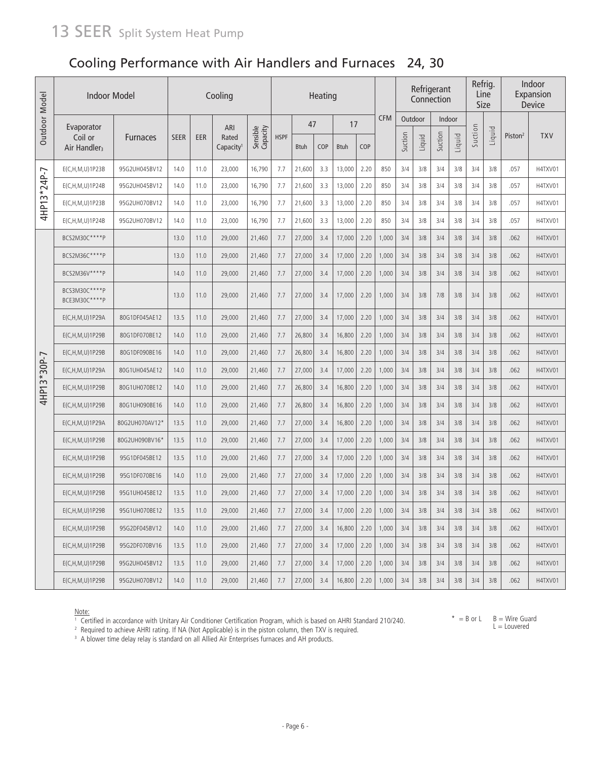## Cooling Performance with Air Handlers and Furnaces 24, 30

| Outdoor Model | Indoor Model                        |                 |             |      | Cooling                        |                      |             |             | Heating |             |      |            |         |        | Refrigerant<br>Connection |        | Refrig.<br>Line | Size   |                     | Indoor<br>Expansion<br>Device |
|---------------|-------------------------------------|-----------------|-------------|------|--------------------------------|----------------------|-------------|-------------|---------|-------------|------|------------|---------|--------|---------------------------|--------|-----------------|--------|---------------------|-------------------------------|
|               | Evaporator                          |                 |             |      | ARI                            |                      |             | 47          |         | 17          |      | <b>CFM</b> | Outdoor |        | Indoor                    |        |                 |        |                     |                               |
|               | Coil or<br>Air Handler <sub>3</sub> | <b>Furnaces</b> | <b>SEER</b> | EER  | Rated<br>Capacity <sup>1</sup> | Sensible<br>Capacity | <b>HSPF</b> | <b>Btuh</b> | COP     | <b>Btuh</b> | COP  |            | Suction | Liquid | Suction                   | Liquid | Suction         | Liquid | Piston <sup>2</sup> | <b>TXV</b>                    |
|               | E(C, H, M, U) 1P23B                 | 95G2UH045BV12   | 14.0        | 11.0 | 23,000                         | 16,790               | 7.7         | 21,600      | 3.3     | 13,000      | 2.20 | 850        | 3/4     | 3/8    | 3/4                       | 3/8    | 3/4             | 3/8    | .057                | H4TXV01                       |
|               | E(C, H, M, U) 1P24B                 | 95G2UH045BV12   | 14.0        | 11.0 | 23,000                         | 16,790               | 7.7         | 21,600      | 3.3     | 13,000      | 2.20 | 850        | 3/4     | 3/8    | 3/4                       | 3/8    | 3/4             | 3/8    | .057                | H4TXV01                       |
| 4HP13*24P-7   | E(C, H, M, U) 1P23B                 | 95G2UH070BV12   | 14.0        | 11.0 | 23,000                         | 16,790               | 7.7         | 21,600      | 3.3     | 13,000      | 2.20 | 850        | 3/4     | 3/8    | 3/4                       | 3/8    | 3/4             | 3/8    | .057                | H4TXV01                       |
|               | $E(C, H, M, U)$ 1P24B               | 95G2UH070BV12   | 14.0        | 11.0 | 23,000                         | 16,790               | 7.7         | 21,600      | 3.3     | 13,000      | 2.20 | 850        | 3/4     | 3/8    | 3/4                       | 3/8    | 3/4             | 3/8    | .057                | H4TXV01                       |
|               | BCS2M30C****P                       |                 | 13.0        | 11.0 | 29,000                         | 21,460               | 7.7         | 27,000      | 3.4     | 17,000      | 2.20 | 1,000      | 3/4     | 3/8    | 3/4                       | 3/8    | 3/4             | 3/8    | .062                | H4TXV01                       |
|               | BCS2M36C****P                       |                 | 13.0        | 11.0 | 29,000                         | 21,460               | 7.7         | 27,000      | 3.4     | 17,000      | 2.20 | 1,000      | 3/4     | 3/8    | 3/4                       | 3/8    | 3/4             | 3/8    | .062                | H4TXV01                       |
|               | BCS2M36V****P                       |                 | 14.0        | 11.0 | 29,000                         | 21,460               | 7.7         | 27,000      | 3.4     | 17,000      | 2.20 | 1,000      | 3/4     | 3/8    | 3/4                       | 3/8    | 3/4             | 3/8    | .062                | H4TXV01                       |
|               | BCS3M30C****P<br>BCE3M30C****P      |                 | 13.0        | 11.0 | 29,000                         | 21,460               | 7.7         | 27,000      | 3.4     | 17,000      | 2.20 | 1,000      | 3/4     | 3/8    | 7/8                       | 3/8    | 3/4             | 3/8    | .062                | H4TXV01                       |
|               | E(C,H,M,U)1P29A                     | 80G1DF045AE12   | 13.5        | 11.0 | 29,000                         | 21,460               | 7.7         | 27,000      | 3.4     | 17,000      | 2.20 | 1,000      | 3/4     | 3/8    | 3/4                       | 3/8    | 3/4             | 3/8    | .062                | H4TXV01                       |
|               | $E(C, H, M, U)$ 1P29B               | 80G1DF070BE12   | 14.0        | 11.0 | 29,000                         | 21,460               | 7.7         | 26,800      | 3.4     | 16,800      | 2.20 | 1,000      | 3/4     | 3/8    | 3/4                       | 3/8    | 3/4             | 3/8    | .062                | H4TXV01                       |
|               | $E(C, H, M, U)$ 1P29B               | 80G1DF090BE16   | 14.0        | 11.0 | 29,000                         | 21,460               | 7.7         | 26,800      | 3.4     | 16,800      | 2.20 | 1,000      | 3/4     | 3/8    | 3/4                       | 3/8    | 3/4             | 3/8    | .062                | H4TXV01                       |
| $3*30P-7$     | E(C,H,M,U)1P29A                     | 80G1UH045AE12   | 14.0        | 11.0 | 29,000                         | 21,460               | 7.7         | 27,000      | 3.4     | 17,000      | 2.20 | 1,000      | 3/4     | 3/8    | 3/4                       | 3/8    | 3/4             | 3/8    | .062                | H4TXV01                       |
| 4HP1          | $E(C, H, M, U)$ 1P29B               | 80G1UH070BE12   | 14.0        | 11.0 | 29,000                         | 21,460               | 7.7         | 26,800      | 3.4     | 16,800      | 2.20 | 1,000      | 3/4     | 3/8    | 3/4                       | 3/8    | 3/4             | 3/8    | .062                | H4TXV01                       |
|               | E(C,H,M,U)1P29B                     | 80G1UH090BE16   | 14.0        | 11.0 | 29,000                         | 21,460               | 7.7         | 26,800      | 3.4     | 16,800      | 2.20 | 1,000      | 3/4     | 3/8    | 3/4                       | 3/8    | 3/4             | 3/8    | .062                | H4TXV01                       |
|               | E(C,H,M,U)1P29A                     | 80G2UH070AV12*  | 13.5        | 11.0 | 29,000                         | 21,460               | 7.7         | 27,000      | 3.4     | 16,800      | 2.20 | 1,000      | 3/4     | 3/8    | 3/4                       | 3/8    | 3/4             | 3/8    | .062                | H4TXV01                       |
|               | E(C,H,M,U)1P29B                     | 80G2UH090BV16*  | 13.5        | 11.0 | 29,000                         | 21,460               | 7.7         | 27,000      | 3.4     | 17,000      | 2.20 | 1,000      | 3/4     | 3/8    | 3/4                       | 3/8    | 3/4             | 3/8    | .062                | H4TXV01                       |
|               | $E(C, H, M, U)$ 1P29B               | 95G1DF045BE12   | 13.5        | 11.0 | 29,000                         | 21,460               | 7.7         | 27,000      | 3.4     | 17,000      | 2.20 | 1,000      | 3/4     | 3/8    | 3/4                       | 3/8    | 3/4             | 3/8    | .062                | H4TXV01                       |
|               | E(C,H,M,U)1P29B                     | 95G1DF070BE16   | 14.0        | 11.0 | 29,000                         | 21,460               | 7.7         | 27,000      | 3.4     | 17,000      | 2.20 | 1,000      | 3/4     | 3/8    | 3/4                       | 3/8    | 3/4             | 3/8    | .062                | H4TXV01                       |
|               | E(C, H, M, U) 1P29B                 | 95G1UH045BE12   | 13.5        | 11.0 | 29,000                         | 21,460               | 7.7         | 27,000      | 3.4     | 17,000      | 2.20 | 1,000      | 3/4     | 3/8    | 3/4                       | 3/8    | 3/4             | 3/8    | .062                | H4TXV01                       |
|               | $E(C, H, M, U)$ 1P29B               | 95G1UH070BE12   | 13.5        | 11.0 | 29,000                         | 21,460               | 7.7         | 27,000      | 3.4     | 17,000      | 2.20 | 1,000      | 3/4     | 3/8    | 3/4                       | 3/8    | 3/4             | 3/8    | .062                | H4TXV01                       |
|               | $E(C, H, M, U)$ 1P29B               | 95G2DF045BV12   | 14.0        | 11.0 | 29,000                         | 21,460               | 7.7         | 27,000      | 3.4     | 16,800      | 2.20 | 1,000      | 3/4     | 3/8    | 3/4                       | 3/8    | 3/4             | 3/8    | .062                | H4TXV01                       |
|               | $E(C, H, M, U)$ 1P29B               | 95G2DF070BV16   | 13.5        | 11.0 | 29,000                         | 21,460               | 7.7         | 27,000      | 3.4     | 17,000      | 2.20 | 1,000      | 3/4     | 3/8    | 3/4                       | 3/8    | 3/4             | 3/8    | .062                | H4TXV01                       |
|               | $E(C, H, M, U)$ 1P29B               | 95G2UH045BV12   | 13.5        | 11.0 | 29,000                         | 21,460               | 7.7         | 27,000      | 3.4     | 17,000      | 2.20 | 1,000      | 3/4     | 3/8    | 3/4                       | 3/8    | 3/4             | 3/8    | .062                | H4TXV01                       |
|               | E(C,H,M,U)1P29B                     | 95G2UH070BV12   | 14.0        | 11.0 | 29,000                         | 21,460               | 7.7         | 27,000      | 3.4     | 16,800      | 2.20 | 1,000      | 3/4     | 3/8    | 3/4                       | 3/8    | 3/4             | 3/8    | .062                | H4TXV01                       |

Note:

' Certified in accordance with Unitary Air Conditioner Certification Program, which is based on AHRI Standard 210/240.<br><sup>2</sup> Required to achieve AHRI rating. If NA (Not Applicable) is in the piston column, then TXV is requir

 $*$  = B or L B = Wire Guard  $L =$  Louvered

<sup>3</sup> A blower time delay relay is standard on all Allied Air Enterprises furnaces and AH products.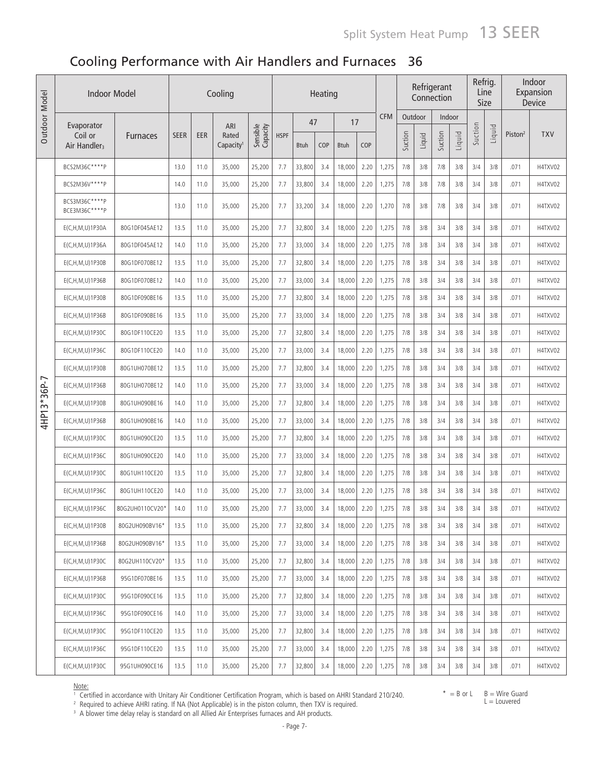# Cooling Performance with Air Handlers and Furnaces 36

| Outdoor Model | <b>Indoor Model</b><br>Cooling<br>Heating |                 |             |      |                                |                      |             |             |     |             |      | Refrigerant<br>Connection |         | Refrig.<br>Line<br>Size |         |        | Indoor<br>Expansion<br>Device |        |                     |            |
|---------------|-------------------------------------------|-----------------|-------------|------|--------------------------------|----------------------|-------------|-------------|-----|-------------|------|---------------------------|---------|-------------------------|---------|--------|-------------------------------|--------|---------------------|------------|
|               | Evaporator                                |                 |             |      | ARI                            |                      |             | 47          |     | 17          |      | <b>CFM</b>                | Outdoor |                         | Indoor  |        |                               |        |                     |            |
|               | Coil or<br>Air Handler <sub>3</sub>       | <b>Furnaces</b> | <b>SEER</b> | EER  | Rated<br>Capacity <sup>1</sup> | Sensible<br>Capacity | <b>HSPF</b> | <b>Btuh</b> | COP | <b>Btuh</b> | COP  |                           | Suction | Liquid                  | Suction | Liquid | Suction                       | Liquid | Piston <sup>2</sup> | <b>TXV</b> |
|               | BCS2M36C****P                             |                 | 13.0        | 11.0 | 35,000                         | 25,200               | 7.7         | 33,800      | 3.4 | 18,000      | 2.20 | 1,275                     | 7/8     | 3/8                     | 7/8     | 3/8    | 3/4                           | 3/8    | .071                | H4TXV02    |
|               | BCS2M36V****P                             |                 | 14.0        | 11.0 | 35,000                         | 25,200               | 7.7         | 33,800      | 3.4 | 18,000      | 2.20 | 1,275                     | 7/8     | 3/8                     | 7/8     | 3/8    | 3/4                           | 3/8    | .071                | H4TXV02    |
|               | BCS3M36C****P<br>BCE3M36C****P            |                 | 13.0        | 11.0 | 35,000                         | 25,200               | 7.7         | 33,200      | 3.4 | 18,000      | 2.20 | 1,270                     | 7/8     | 3/8                     | 7/8     | 3/8    | 3/4                           | 3/8    | .071                | H4TXV02    |
|               | E(C,H,M,U)1P30A                           | 80G1DF045AE12   | 13.5        | 11.0 | 35,000                         | 25,200               | 7.7         | 32,800      | 3.4 | 18,000      | 2.20 | 1,275                     | 7/8     | 3/8                     | 3/4     | 3/8    | 3/4                           | 3/8    | .071                | H4TXV02    |
|               | E(C,H,M,U)1P36A                           | 80G1DF045AE12   | 14.0        | 11.0 | 35,000                         | 25,200               | 7.7         | 33,000      | 3.4 | 18,000      | 2.20 | 1,275                     | 7/8     | 3/8                     | 3/4     | 3/8    | 3/4                           | 3/8    | .071                | H4TXV02    |
|               | E(C,H,M,U)1P30B                           | 80G1DF070BE12   | 13.5        | 11.0 | 35,000                         | 25,200               | 7.7         | 32,800      | 3.4 | 18,000      | 2.20 | 1,275                     | 7/8     | 3/8                     | 3/4     | 3/8    | 3/4                           | 3/8    | .071                | H4TXV02    |
|               | E(C, H, M, U) 1P36B                       | 80G1DF070BE12   | 14.0        | 11.0 | 35,000                         | 25,200               | 7.7         | 33,000      | 3.4 | 18,000      | 2.20 | 1,275                     | 7/8     | 3/8                     | 3/4     | 3/8    | 3/4                           | 3/8    | .071                | H4TXV02    |
|               | E(C,H,M,U)1P30B                           | 80G1DF090BE16   | 13.5        | 11.0 | 35,000                         | 25,200               | 7.7         | 32,800      | 3.4 | 18,000      | 2.20 | 1,275                     | 7/8     | 3/8                     | 3/4     | 3/8    | 3/4                           | 3/8    | .071                | H4TXV02    |
|               | E(C, H, M, U) 1P36B                       | 80G1DF090BE16   | 13.5        | 11.0 | 35,000                         | 25,200               | 7.7         | 33,000      | 3.4 | 18,000      | 2.20 | 1,275                     | 7/8     | 3/8                     | 3/4     | 3/8    | 3/4                           | 3/8    | .071                | H4TXV02    |
|               | E(C,H,M,U)1P30C                           | 80G1DF110CE20   | 13.5        | 11.0 | 35,000                         | 25,200               | 7.7         | 32,800      | 3.4 | 18,000      | 2.20 | 1,275                     | 7/8     | 3/8                     | 3/4     | 3/8    | 3/4                           | 3/8    | .071                | H4TXV02    |
|               | E(C,H,M,U)1P36C                           | 80G1DF110CE20   | 14.0        | 11.0 | 35,000                         | 25,200               | 7.7         | 33,000      | 3.4 | 18,000      | 2.20 | 1,275                     | 7/8     | 3/8                     | 3/4     | 3/8    | 3/4                           | 3/8    | .071                | H4TXV02    |
|               | $E(C, H, M, U)$ 1P30B                     | 80G1UH070BE12   | 13.5        | 11.0 | 35,000                         | 25,200               | 7.7         | 32,800      | 3.4 | 18,000      | 2.20 | 1,275                     | 7/8     | 3/8                     | 3/4     | 3/8    | 3/4                           | 3/8    | .071                | H4TXV02    |
| 4HP13*36P-7   | $E(C, H, M, U)$ 1P36B                     | 80G1UH070BE12   | 14.0        | 11.0 | 35,000                         | 25,200               | 7.7         | 33,000      | 3.4 | 18,000      | 2.20 | 1,275                     | 7/8     | 3/8                     | 3/4     | 3/8    | 3/4                           | 3/8    | .071                | H4TXV02    |
|               | E(C,H,M,U)1P30B                           | 80G1UH090BE16   | 14.0        | 11.0 | 35,000                         | 25,200               | 7.7         | 32,800      | 3.4 | 18,000      | 2.20 | 1,275                     | 7/8     | 3/8                     | 3/4     | 3/8    | 3/4                           | 3/8    | .071                | H4TXV02    |
|               | E(C,H,M,U)1P36B                           | 80G1UH090BE16   | 14.0        | 11.0 | 35,000                         | 25,200               | 7.7         | 33,000      | 3.4 | 18,000      | 2.20 | 1,275                     | 7/8     | 3/8                     | 3/4     | 3/8    | 3/4                           | 3/8    | .071                | H4TXV02    |
|               | E(C,H,M,U)1P30C                           | 80G1UH090CE20   | 13.5        | 11.0 | 35,000                         | 25,200               | 7.7         | 32,800      | 3.4 | 18,000      | 2.20 | 1,275                     | 7/8     | 3/8                     | 3/4     | 3/8    | 3/4                           | 3/8    | .071                | H4TXV02    |
|               | E(C,H,M,U)1P36C                           | 80G1UH090CE20   | 14.0        | 11.0 | 35,000                         | 25,200               | 7.7         | 33,000      | 3.4 | 18,000      | 2.20 | 1,275                     | 7/8     | 3/8                     | 3/4     | 3/8    | 3/4                           | 3/8    | .071                | H4TXV02    |
|               | E(C, H, M, U) 1 P 30 C                    | 80G1UH110CE20   | 13.5        | 11.0 | 35,000                         | 25,200               | 7.7         | 32,800      | 3.4 | 18,000      | 2.20 | 1,275                     | 7/8     | 3/8                     | 3/4     | 3/8    | 3/4                           | 3/8    | .071                | H4TXV02    |
|               | E(C,H,M,U)1P36C                           | 80G1UH110CE20   | 14.0        | 11.0 | 35,000                         | 25,200               | 7.7         | 33,000      | 3.4 | 18,000      | 2.20 | 1,275                     | 7/8     | 3/8                     | 3/4     | 3/8    | 3/4                           | 3/8    | .071                | H4TXV02    |
|               | E(C, H, M, U) 1P36C                       | 80G2UH0110CV20* | 14.0        | 11.0 | 35,000                         | 25,200               | 7.7         | 33,000      | 3.4 | 18,000      | 2.20 | 1,275                     | 7/8     | 3/8                     | 3/4     | 3/8    | 3/4                           | 3/8    | .071                | H4TXV02    |
|               | E(C,H,M,U)1P30B                           | 80G2UH090BV16*  | 13.5        | 11.0 | 35,000                         | 25,200               | 7.7         | 32,800      | 3.4 | 18,000      | 2.20 | 1,275                     | 7/8     | 3/8                     | 3/4     | 3/8    | 3/4                           | 3/8    | .071                | H4TXV02    |
|               | $E(C, H, M, U)$ 1P36B                     | 80G2UH090BV16*  | 13.5        | 11.0 | 35,000                         | 25,200               | 7.7         | 33,000      | 3.4 | 18,000      | 2.20 | 1,275                     | 7/8     | 3/8                     | 3/4     | 3/8    | 3/4                           | 3/8    | .071                | H4TXV02    |
|               | E(C, H, M, U) 1 P 30C                     | 80G2UH110CV20*  | 13.5        | 11.0 | 35,000                         | 25,200               | 7.7         | 32,800      | 3.4 | 18,000      | 2.20 | 1,275                     | 7/8     | 3/8                     | 3/4     | 3/8    | 3/4                           | 3/8    | .071                | H4TXV02    |
|               | E(C, H, M, U) 1P36B                       | 95G1DF070BE16   | 13.5        | 11.0 | 35,000                         | 25,200               | 7.7         | 33,000      | 3.4 | 18,000      | 2.20 | 1,275                     | 7/8     | 3/8                     | 3/4     | 3/8    | 3/4                           | 3/8    | .071                | H4TXV02    |
|               | E(C, H, M, U) 1P30C                       | 95G1DF090CE16   | 13.5        | 11.0 | 35,000                         | 25,200               | 7.7         | 32,800      | 3.4 | 18,000      | 2.20 | 1,275                     | 7/8     | 3/8                     | 3/4     | 3/8    | 3/4                           | 3/8    | .071                | H4TXV02    |
|               | E(C, H, M, U) 1P36C                       | 95G1DF090CE16   | 14.0        | 11.0 | 35,000                         | 25,200               | 7.7         | 33,000      | 3.4 | 18,000      | 2.20 | 1,275                     | 7/8     | 3/8                     | 3/4     | 3/8    | 3/4                           | 3/8    | .071                | H4TXV02    |
|               | E(C, H, M, U) 1P30C                       | 95G1DF110CE20   | 13.5        | 11.0 | 35,000                         | 25,200               | 7.7         | 32,800      | 3.4 | 18,000      | 2.20 | 1,275                     | 7/8     | 3/8                     | 3/4     | 3/8    | 3/4                           | 3/8    | .071                | H4TXV02    |
|               | E(C, H, M, U) 1 P 36C                     | 95G1DF110CE20   | 13.5        | 11.0 | 35,000                         | 25,200               | 7.7         | 33,000      | 3.4 | 18,000      | 2.20 | 1,275                     | 7/8     | 3/8                     | 3/4     | 3/8    | 3/4                           | 3/8    | .071                | H4TXV02    |
|               | E(C, H, M, U) 1 P 30C                     | 95G1UH090CE16   | 13.5        | 11.0 | 35,000                         | 25,200               | 7.7         | 32,800      | 3.4 | 18,000      | 2.20 | 1,275                     | 7/8     | 3/8                     | 3/4     | 3/8    | 3/4                           | 3/8    | .071                | H4TXV02    |

<u>Note:</u><br>† Certified in accordance with Unitary Air Conditioner Certification Program, which is based on AHRI Standard 210/240.<br><sup>2</sup> Required to achieve AHRI rating. If NA (Not Applicable) is in the piston column, then TXV i

 $*$  = B or L  $B =$  Wire Guard  $L =$  Louvered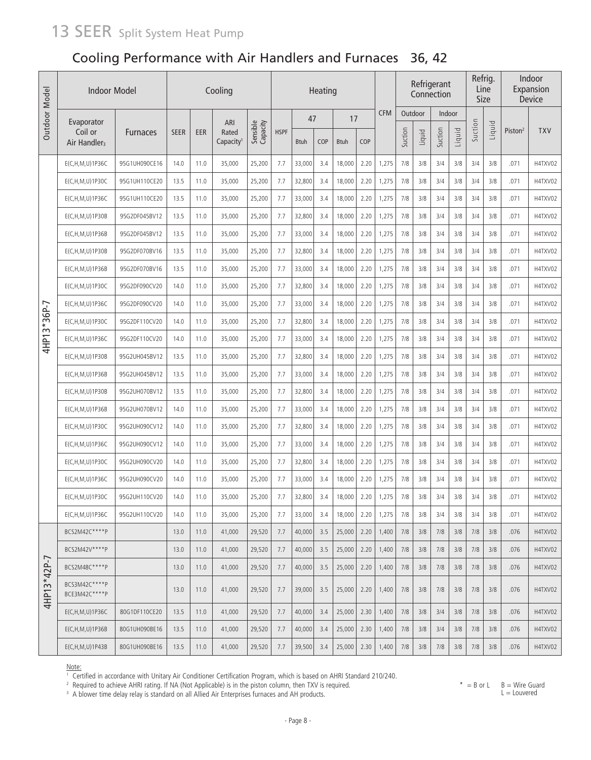# 13 SEER split System Heat Pump

## Cooling Performance with Air Handlers and Furnaces 36, 42

| Outdoor Model | <b>Indoor Model</b>                 |                 |             |      | Cooling                        |                      |             |             | Heating |             |      |            |         |        | Refrigerant<br>Connection |        | Refrig.<br>Line<br>Size |        |                     | Indoor<br>Expansion<br><b>Device</b> |
|---------------|-------------------------------------|-----------------|-------------|------|--------------------------------|----------------------|-------------|-------------|---------|-------------|------|------------|---------|--------|---------------------------|--------|-------------------------|--------|---------------------|--------------------------------------|
|               | Evaporator                          |                 |             |      | ARI                            |                      |             | 47          |         | 17          |      | <b>CFM</b> | Outdoor |        | Indoor                    |        |                         |        |                     |                                      |
|               | Coil or<br>Air Handler <sub>3</sub> | <b>Furnaces</b> | <b>SEER</b> | EER  | Rated<br>Capacity <sup>1</sup> | Sensible<br>Capacity | <b>HSPF</b> | <b>Btuh</b> | COP     | <b>Btuh</b> | COP  |            | Suction | Liquid | Suction                   | Liquid | Suction                 | Liquid | Piston <sup>2</sup> | <b>TXV</b>                           |
|               | E(C,H,M,U)1P36C                     | 95G1UH090CE16   | 14.0        | 11.0 | 35,000                         | 25,200               | 7.7         | 33,000      | 3.4     | 18,000      | 2.20 | 1,275      | 7/8     | 3/8    | 3/4                       | 3/8    | 3/4                     | 3/8    | .071                | H4TXV02                              |
|               | E(C,H,M,U)1P30C                     | 95G1UH110CE20   | 13.5        | 11.0 | 35,000                         | 25,200               | 7.7         | 32,800      | 3.4     | 18,000      | 2.20 | 1,275      | 7/8     | 3/8    | 3/4                       | 3/8    | 3/4                     | 3/8    | .071                | H4TXV02                              |
|               | E(C,H,M,U)1P36C                     | 95G1UH110CE20   | 13.5        | 11.0 | 35,000                         | 25,200               | 7.7         | 33,000      | 3.4     | 18,000      | 2.20 | 1,275      | 7/8     | 3/8    | 3/4                       | 3/8    | 3/4                     | 3/8    | .071                | H4TXV02                              |
|               | E(C,H,M,U)1P30B                     | 95G2DF045BV12   | 13.5        | 11.0 | 35,000                         | 25,200               | 7.7         | 32,800      | 3.4     | 18,000      | 2.20 | 1,275      | 7/8     | 3/8    | 3/4                       | 3/8    | 3/4                     | 3/8    | .071                | H4TXV02                              |
|               | $E(C, H, M, U)$ 1P36B               | 95G2DF045BV12   | 13.5        | 11.0 | 35,000                         | 25,200               | 7.7         | 33,000      | 3.4     | 18,000      | 2.20 | 1,275      | 7/8     | 3/8    | 3/4                       | 3/8    | 3/4                     | 3/8    | .071                | H4TXV02                              |
|               | $E(C, H, M, U)$ 1P30B               | 95G2DF070BV16   | 13.5        | 11.0 | 35,000                         | 25,200               | 7.7         | 32,800      | 3.4     | 18,000      | 2.20 | 1,275      | 7/8     | 3/8    | 3/4                       | 3/8    | 3/4                     | 3/8    | .071                | H4TXV02                              |
|               | E(C,H,M,U)1P36B                     | 95G2DF070BV16   | 13.5        | 11.0 | 35,000                         | 25,200               | 7.7         | 33,000      | 3.4     | 18,000      | 2.20 | 1,275      | 7/8     | 3/8    | 3/4                       | 3/8    | 3/4                     | 3/8    | .071                | H4TXV02                              |
|               | E(C,H,M,U)1P30C                     | 95G2DF090CV20   | 14.0        | 11.0 | 35,000                         | 25,200               | 7.7         | 32,800      | 3.4     | 18,000      | 2.20 | 1,275      | 7/8     | 3/8    | 3/4                       | 3/8    | 3/4                     | 3/8    | .071                | H4TXV02                              |
|               | E(C,H,M,U)1P36C                     | 95G2DF090CV20   | 14.0        | 11.0 | 35,000                         | 25,200               | 7.7         | 33,000      | 3.4     | 18,000      | 2.20 | 1,275      | 7/8     | 3/8    | 3/4                       | 3/8    | 3/4                     | 3/8    | .071                | H4TXV02                              |
| $3*36P-7$     | E(C,H,M,U)1P30C                     | 95G2DF110CV20   | 14.0        | 11.0 | 35,000                         | 25,200               | 7.7         | 32,800      | 3.4     | 18,000      | 2.20 | 1,275      | 7/8     | 3/8    | 3/4                       | 3/8    | 3/4                     | 3/8    | .071                | H4TXV02                              |
| 4HP13         | E(C,H,M,U)1P36C                     | 95G2DF110CV20   | 14.0        | 11.0 | 35,000                         | 25,200               | 7.7         | 33,000      | 3.4     | 18,000      | 2.20 | 1,275      | 7/8     | 3/8    | 3/4                       | 3/8    | 3/4                     | 3/8    | .071                | H4TXV02                              |
|               | E(C,H,M,U)1P30B                     | 95G2UH045BV12   | 13.5        | 11.0 | 35,000                         | 25,200               | 7.7         | 32,800      | 3.4     | 18,000      | 2.20 | 1,275      | 7/8     | 3/8    | 3/4                       | 3/8    | 3/4                     | 3/8    | .071                | H4TXV02                              |
|               | $E(C, H, M, U)$ 1P36B               | 95G2UH045BV12   | 13.5        | 11.0 | 35,000                         | 25,200               | 7.7         | 33,000      | 3.4     | 18,000      | 2.20 | 1,275      | 7/8     | 3/8    | 3/4                       | 3/8    | 3/4                     | 3/8    | .071                | H4TXV02                              |
|               | $E(C, H, M, U)$ 1P30B               | 95G2UH070BV12   | 13.5        | 11.0 | 35,000                         | 25,200               | 7.7         | 32,800      | 3.4     | 18,000      | 2.20 | 1,275      | 7/8     | 3/8    | 3/4                       | 3/8    | 3/4                     | 3/8    | .071                | H4TXV02                              |
|               | $E(C, H, M, U)$ 1P36B               | 95G2UH070BV12   | 14.0        | 11.0 | 35,000                         | 25,200               | 7.7         | 33,000      | 3.4     | 18,000      | 2.20 | 1,275      | 7/8     | 3/8    | 3/4                       | 3/8    | 3/4                     | 3/8    | .071                | H4TXV02                              |
|               | E(C,H,M,U)1P30C                     | 95G2UH090CV12   | 14.0        | 11.0 | 35,000                         | 25,200               | 7.7         | 32,800      | 3.4     | 18,000      | 2.20 | 1,275      | 7/8     | 3/8    | 3/4                       | 3/8    | 3/4                     | 3/8    | .071                | H4TXV02                              |
|               | E(C, H, M, U) 1P36C                 | 95G2UH090CV12   | 14.0        | 11.0 | 35,000                         | 25,200               | 7.7         | 33,000      | 3.4     | 18,000      | 2.20 | 1,275      | 7/8     | 3/8    | 3/4                       | 3/8    | 3/4                     | 3/8    | .071                | H4TXV02                              |
|               | E(C, H, M, U) 1 P 30C               | 95G2UH090CV20   | 14.0        | 11.0 | 35,000                         | 25,200               | 7.7         | 32,800      | 3.4     | 18,000      | 2.20 | 1,275      | 7/8     | 3/8    | 3/4                       | 3/8    | 3/4                     | 3/8    | .071                | H4TXV02                              |
|               | E(C, H, M, U) 1P36C                 | 95G2UH090CV20   | 14.0        | 11.0 | 35,000                         | 25,200               | 7.7         | 33,000      | 3.4     | 18,000      | 2.20 | 1,275      | 7/8     | 3/8    | 3/4                       | 3/8    | 3/4                     | 3/8    | .071                | H4TXV02                              |
|               | E(C,H,M,U)1P30C                     | 95G2UH110CV20   | 14.0        | 11.0 | 35,000                         | 25,200               | 7.7         | 32,800      | 3.4     | 18,000      | 2.20 | 1,275      | 7/8     | 3/8    | 3/4                       | 3/8    | 3/4                     | 3/8    | .071                | H4TXV02                              |
|               | E(C,H,M,U)1P36C                     | 95G2UH110CV20   | 14.0        | 11.0 | 35,000                         | 25,200               | 7.7         | 33,000      | 3.4     | 18,000      | 2.20 | 1,275      | 7/8     | 3/8    | 3/4                       | 3/8    | 3/4                     | 3/8    | .071                | H4TXV02                              |
|               | BCS2M42C****P                       |                 | 13.0        | 11.0 | 41,000                         | 29,520               | 7.7         | 40,000      | 3.5     | 25,000      | 2.20 | 1,400      | 7/8     | 3/8    | 7/8                       | 3/8    | 7/8                     | 3/8    | .076                | H4TXV02                              |
|               | BCS2M42V****P                       |                 | 13.0        | 11.0 | 41,000                         | 29,520               | 7.7         | 40,000      | 3.5     | 25,000      | 2.20 | 1,400      | 7/8     | 3/8    | 7/8                       | 3/8    | 7/8                     | 3/8    | .076                | H4TXV02                              |
|               | BCS2M48C****P                       |                 | 13.0        | 11.0 | 41,000                         | 29,520               | 7.7         | 40,000      | 3.5     | 25,000      | 2.20 | 1,400      | 7/8     | 3/8    | 7/8                       | 3/8    | 7/8                     | 3/8    | .076                | H4TXV02                              |
| 4HP13*42P-7   | BCS3M42C****P<br>BCE3M42C****P      |                 | 13.0        | 11.0 | 41,000                         | 29,520               | 7.7         | 39,000      | 3.5     | 25,000      | 2.20 | 1,400      | 7/8     | 3/8    | 7/8                       | 3/8    | 7/8                     | 3/8    | .076                | H4TXV02                              |
|               | E(C, H, M, U) 1 P 36C               | 80G1DF110CE20   | 13.5        | 11.0 | 41,000                         | 29,520               | 7.7         | 40,000      | 3.4     | 25,000      | 2.30 | 1,400      | 7/8     | 3/8    | 3/4                       | 3/8    | 7/8                     | 3/8    | .076                | H4TXV02                              |
|               | E(C, H, M, U) 1P36B                 | 80G1UH090BE16   | 13.5        | 11.0 | 41,000                         | 29,520               | 7.7         | 40,000      | 3.4     | 25,000      | 2.30 | 1,400      | 7/8     | 3/8    | 3/4                       | 3/8    | 7/8                     | 3/8    | .076                | H4TXV02                              |
|               | E(C, H, M, U) 1P43B                 | 80G1UH090BE16   | 13.5        | 11.0 | 41,000                         | 29,520               | 7.7         | 39,500      | 3.4     | 25,000      | 2.30 | 1,400      | 7/8     | 3/8    | 7/8                       | 3/8    | 7/8                     | 3/8    | .076                | H4TXV02                              |

Note:

1 Certified in accordance with Unitary Air Conditioner Certification Program, which is based on AHRI Standard 210/240.

2 Required to achieve AHRI rating. If NA (Not Applicable) is in the piston column, then TXV is required. <sup>3</sup> A blower time delay relay is standard on all Allied Air Enterprises furnaces and AH products.

- Page 8 -

 $* = B$  or L  $B = W$ ire Guard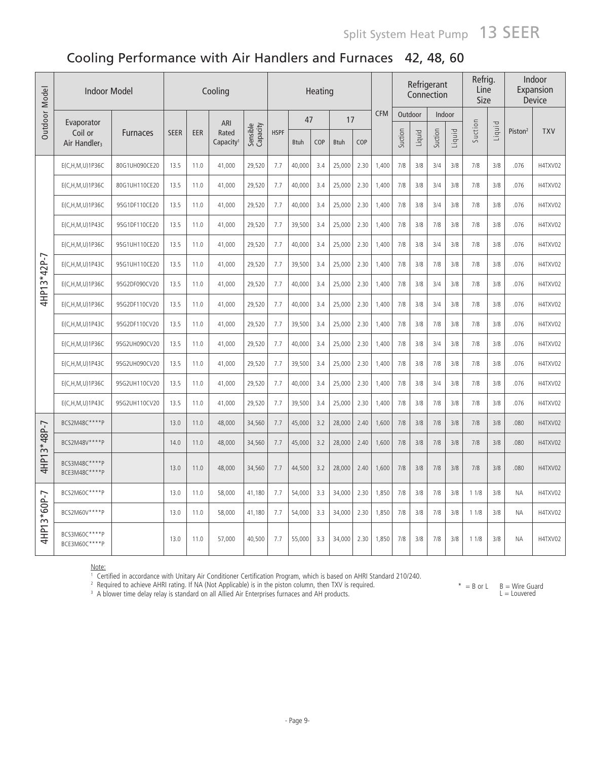## Cooling Performance with Air Handlers and Furnaces 42, 48, 60

| Outdoor Model | <b>Indoor Model</b>                 |                 |             |      | Cooling                        |                      |             |             | Heating |             |      |            |         |         | Refrigerant<br>Connection |        | Refrig.<br>Line<br>Size |        |                     | Indoor<br>Expansion<br>Device |
|---------------|-------------------------------------|-----------------|-------------|------|--------------------------------|----------------------|-------------|-------------|---------|-------------|------|------------|---------|---------|---------------------------|--------|-------------------------|--------|---------------------|-------------------------------|
|               | Evaporator                          |                 |             |      | ARI                            |                      |             | 47          |         | 17          |      | <b>CFM</b> |         | Outdoor | Indoor                    |        |                         |        |                     |                               |
|               | Coil or<br>Air Handler <sub>3</sub> | <b>Furnaces</b> | <b>SEER</b> | EER  | Rated<br>Capacity <sup>1</sup> | Sensible<br>Capacity | <b>HSPF</b> | <b>Btuh</b> | COP     | <b>Btuh</b> | COP  |            | Suction | Liquid  | Suction                   | Liquid | Suction                 | Liquid | Piston <sup>2</sup> | <b>TXV</b>                    |
|               | E(C,H,M,U)1P36C                     | 80G1UH090CE20   | 13.5        | 11.0 | 41,000                         | 29,520               | 7.7         | 40,000      | 3.4     | 25,000      | 2.30 | 1,400      | 7/8     | 3/8     | 3/4                       | 3/8    | 7/8                     | 3/8    | .076                | H4TXV02                       |
|               | E(C,H,M,U)1P36C                     | 80G1UH110CE20   | 13.5        | 11.0 | 41,000                         | 29,520               | 7.7         | 40,000      | 3.4     | 25,000      | 2.30 | 1,400      | 7/8     | 3/8     | 3/4                       | 3/8    | 7/8                     | 3/8    | .076                | H4TXV02                       |
|               | E(C,H,M,U)1P36C                     | 95G1DF110CE20   | 13.5        | 11.0 | 41,000                         | 29,520               | 7.7         | 40,000      | 3.4     | 25,000      | 2.30 | 1,400      | 7/8     | 3/8     | 3/4                       | 3/8    | 7/8                     | 3/8    | .076                | H4TXV02                       |
|               | E(C,H,M,U)1P43C                     | 95G1DF110CE20   | 13.5        | 11.0 | 41.000                         | 29,520               | 7.7         | 39,500      | 3.4     | 25,000      | 2.30 | 1.400      | 7/8     | 3/8     | 7/8                       | 3/8    | 7/8                     | 3/8    | .076                | H4TXV02                       |
|               | E(C, H, M, U) 1P36C                 | 95G1UH110CE20   | 13.5        | 11.0 | 41.000                         | 29.520               | 7.7         | 40.000      | 3.4     | 25,000      | 2.30 | 1.400      | 7/8     | 3/8     | 3/4                       | 3/8    | 7/8                     | 3/8    | .076                | H4TXV02                       |
|               | E(C,H,M,U)1P43C                     | 95G1UH110CE20   | 13.5        | 11.0 | 41,000                         | 29,520               | 7.7         | 39,500      | 3.4     | 25,000      | 2.30 | 1,400      | 7/8     | 3/8     | 7/8                       | 3/8    | 7/8                     | 3/8    | .076                | H4TXV02                       |
| 4HP13*42P-7   | E(C,H,M,U)1P36C                     | 95G2DF090CV20   | 13.5        | 11.0 | 41,000                         | 29,520               | 7.7         | 40,000      | 3.4     | 25,000      | 2.30 | 1,400      | 7/8     | 3/8     | 3/4                       | 3/8    | 7/8                     | 3/8    | .076                | H4TXV02                       |
|               | E(C,H,M,U)1P36C                     | 95G2DF110CV20   | 13.5        | 11.0 | 41,000                         | 29,520               | 7.7         | 40,000      | 3.4     | 25,000      | 2.30 | 1.400      | 7/8     | 3/8     | 3/4                       | 3/8    | 7/8                     | 3/8    | .076                | H4TXV02                       |
|               | E(C, H, M, U) 1P43C                 | 95G2DF110CV20   | 13.5        | 11.0 | 41,000                         | 29,520               | 7.7         | 39,500      | 3.4     | 25,000      | 2.30 | 1,400      | 7/8     | 3/8     | 7/8                       | 3/8    | 7/8                     | 3/8    | .076                | H4TXV02                       |
|               | E(C, H, M, U) 1P36C                 | 95G2UH090CV20   | 13.5        | 11.0 | 41,000                         | 29,520               | 7.7         | 40,000      | 3.4     | 25,000      | 2.30 | 1,400      | 7/8     | 3/8     | 3/4                       | 3/8    | 7/8                     | 3/8    | .076                | H4TXV02                       |
|               | E(C, H, M, U) 1P43C                 | 95G2UH090CV20   | 13.5        | 11.0 | 41,000                         | 29,520               | 7.7         | 39,500      | 3.4     | 25,000      | 2.30 | 1,400      | 7/8     | 3/8     | 7/8                       | 3/8    | 7/8                     | 3/8    | .076                | H4TXV02                       |
|               | E(C, H, M, U) 1P36C                 | 95G2UH110CV20   | 13.5        | 11.0 | 41,000                         | 29,520               | 7.7         | 40,000      | 3.4     | 25,000      | 2.30 | 1,400      | 7/8     | 3/8     | 3/4                       | 3/8    | 7/8                     | 3/8    | .076                | H4TXV02                       |
|               | E(C,H,M,U)1P43C                     | 95G2UH110CV20   | 13.5        | 11.0 | 41,000                         | 29,520               | 7.7         | 39,500      | 3.4     | 25,000      | 2.30 | 1.400      | 7/8     | 3/8     | 7/8                       | 3/8    | 7/8                     | 3/8    | .076                | H4TXV02                       |
|               | BCS2M48C****P                       |                 | 13.0        | 11.0 | 48,000                         | 34,560               | 7.7         | 45,000      | 3.2     | 28,000      | 2.40 | 1,600      | 7/8     | 3/8     | 7/8                       | 3/8    | 7/8                     | 3/8    | .080                | H4TXV02                       |
|               | BCS2M48V****P                       |                 | 14.0        | 11.0 | 48,000                         | 34,560               | 7.7         | 45,000      | 3.2     | 28,000      | 2.40 | 1,600      | 7/8     | 3/8     | 7/8                       | 3/8    | 7/8                     | 3/8    | .080                | H4TXV02                       |
| 4HP13*48P-7   | BCS3M48C****P<br>BCE3M48C****P      |                 | 13.0        | 11.0 | 48,000                         | 34,560               | 7.7         | 44,500      | 3.2     | 28,000      | 2.40 | 1,600      | 7/8     | 3/8     | 7/8                       | 3/8    | 7/8                     | 3/8    | .080                | H4TXV02                       |
|               | BCS2M60C****P                       |                 | 13.0        | 11.0 | 58,000                         | 41,180               | 7.7         | 54,000      | 3.3     | 34,000      | 2.30 | 1,850      | 7/8     | 3/8     | 7/8                       | 3/8    | 11/8                    | 3/8    | <b>NA</b>           | H4TXV02                       |
|               | BCS2M60V **** P                     |                 | 13.0        | 11.0 | 58,000                         | 41,180               | 7.7         | 54,000      | 3.3     | 34,000      | 2.30 | 1,850      | 7/8     | 3/8     | 7/8                       | 3/8    | 11/8                    | 3/8    | <b>NA</b>           | H4TXV02                       |
| 4HP13*60P-7   | BCS3M60C****P<br>BCE3M60C****P      |                 | 13.0        | 11.0 | 57,000                         | 40,500               | 7.7         | 55,000      | 3.3     | 34,000      | 2.30 | 1,850      | 7/8     | 3/8     | 7/8                       | 3/8    | 11/8                    | 3/8    | <b>NA</b>           | H4TXV02                       |

<u>Note:</u><br>† Certified in accordance with Unitary Air Conditioner Certification Program, which is based on AHRI Standard 210/240.<br><sup>2</sup> Required to achieve AHRI rating. If NA (Not Applicable) is in the piston column, then TXV i

 $* = B$  or  $L$   $B = W$ ire Guard

<sup>3</sup> A blower time delay relay is standard on all Allied Air Enterprises furnaces and AH products.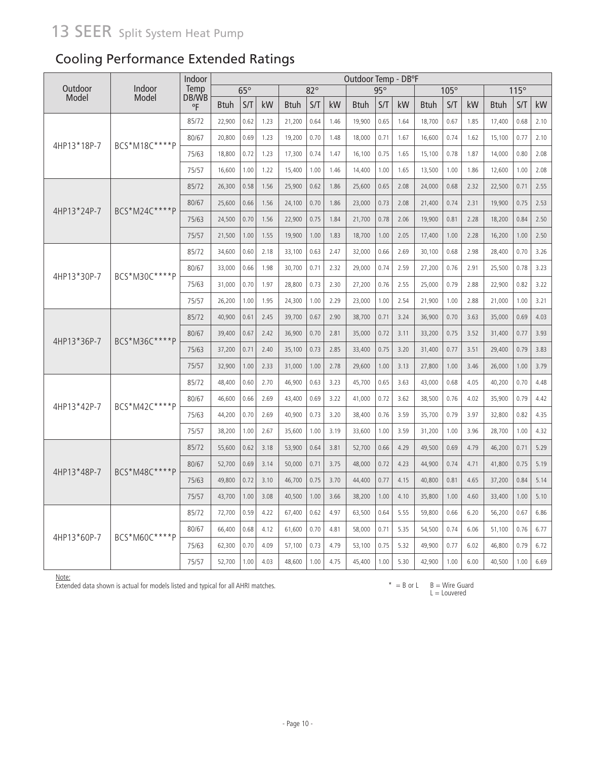Cooling Performance Extended Ratings

|                  |                 | Indoor        |        |            |      |             |            |      | Outdoor Temp - DB°F |      |      |             |      |      |             |      |      |
|------------------|-----------------|---------------|--------|------------|------|-------------|------------|------|---------------------|------|------|-------------|------|------|-------------|------|------|
| Outdoor<br>Model | Indoor<br>Model | Temp<br>DB/WB |        | $65^\circ$ |      |             | $82^\circ$ |      |                     | 95°  |      |             | 105° |      |             | 115° |      |
|                  |                 | °F            | Btuh   | S/T        | kW   | <b>Btuh</b> | S/T        | kW   | <b>Btuh</b>         | S/T  | kW   | <b>Btuh</b> | S/T  | kW   | <b>Btuh</b> | S/T  | kW   |
|                  |                 | 85/72         | 22,900 | 0.62       | 1.23 | 21,200      | 0.64       | 1.46 | 19,900              | 0.65 | 1.64 | 18,700      | 0.67 | 1.85 | 17,400      | 0.68 | 2.10 |
| 4HP13*18P-7      | BCS*M18C****P   | 80/67         | 20,800 | 0.69       | 1.23 | 19,200      | 0.70       | 1.48 | 18,000              | 0.71 | 1.67 | 16,600      | 0.74 | 1.62 | 15,100      | 0.77 | 2.10 |
|                  |                 | 75/63         | 18,800 | 0.72       | 1.23 | 17,300      | 0.74       | 1.47 | 16,100              | 0.75 | 1.65 | 15,100      | 0.78 | 1.87 | 14,000      | 0.80 | 2.08 |
|                  |                 | 75/57         | 16,600 | 1.00       | 1.22 | 15,400      | 1.00       | 1.46 | 14,400              | 1.00 | 1.65 | 13,500      | 1.00 | 1.86 | 12,600      | 1.00 | 2.08 |
|                  |                 | 85/72         | 26,300 | 0.58       | 1.56 | 25,900      | 0.62       | 1.86 | 25,600              | 0.65 | 2.08 | 24,000      | 0.68 | 2.32 | 22,500      | 0.71 | 2.55 |
| 4HP13*24P-7      | BCS*M24C****P   | 80/67         | 25,600 | 0.66       | 1.56 | 24,100      | 0.70       | 1.86 | 23,000              | 0.73 | 2.08 | 21,400      | 0.74 | 2.31 | 19,900      | 0.75 | 2.53 |
|                  |                 | 75/63         | 24,500 | 0.70       | 1.56 | 22,900      | 0.75       | 1.84 | 21,700              | 0.78 | 2.06 | 19,900      | 0.81 | 2.28 | 18,200      | 0.84 | 2.50 |
|                  |                 | 75/57         | 21,500 | 1.00       | 1.55 | 19,900      | 1.00       | 1.83 | 18,700              | 1.00 | 2.05 | 17,400      | 1.00 | 2.28 | 16,200      | 1.00 | 2.50 |
|                  |                 | 85/72         | 34,600 | 0.60       | 2.18 | 33,100      | 0.63       | 2.47 | 32,000              | 0.66 | 2.69 | 30,100      | 0.68 | 2.98 | 28,400      | 0.70 | 3.26 |
| 4HP13*30P-7      | BCS*M30C****P   | 80/67         | 33,000 | 0.66       | 1.98 | 30,700      | 0.71       | 2.32 | 29,000              | 0.74 | 2.59 | 27,200      | 0.76 | 2.91 | 25,500      | 0.78 | 3.23 |
|                  |                 | 75/63         | 31,000 | 0.70       | 1.97 | 28,800      | 0.73       | 2.30 | 27,200              | 0.76 | 2.55 | 25,000      | 0.79 | 2.88 | 22,900      | 0.82 | 3.22 |
|                  |                 | 75/57         | 26,200 | 1.00       | 1.95 | 24,300      | 1.00       | 2.29 | 23,000              | 1.00 | 2.54 | 21,900      | 1.00 | 2.88 | 21,000      | 1.00 | 3.21 |
|                  |                 | 85/72         | 40,900 | 0.61       | 2.45 | 39,700      | 0.67       | 2.90 | 38,700              | 0.71 | 3.24 | 36,900      | 0.70 | 3.63 | 35,000      | 0.69 | 4.03 |
| 4HP13*36P-7      | BCS*M36C****P   | 80/67         | 39,400 | 0.67       | 2.42 | 36,900      | 0.70       | 2.81 | 35,000              | 0.72 | 3.11 | 33,200      | 0.75 | 3.52 | 31,400      | 0.77 | 3.93 |
|                  |                 | 75/63         | 37,200 | 0.71       | 2.40 | 35,100      | 0.73       | 2.85 | 33,400              | 0.75 | 3.20 | 31,400      | 0.77 | 3.51 | 29,400      | 0.79 | 3.83 |
|                  |                 | 75/57         | 32,900 | 1.00       | 2.33 | 31,000      | 1.00       | 2.78 | 29,600              | 1.00 | 3.13 | 27,800      | 1.00 | 3.46 | 26,000      | 1.00 | 3.79 |
|                  |                 | 85/72         | 48,400 | 0.60       | 2.70 | 46,900      | 0.63       | 3.23 | 45,700              | 0.65 | 3.63 | 43,000      | 0.68 | 4.05 | 40,200      | 0.70 | 4.48 |
| 4HP13*42P-7      | BCS*M42C****P   | 80/67         | 46,600 | 0.66       | 2.69 | 43,400      | 0.69       | 3.22 | 41,000              | 0.72 | 3.62 | 38,500      | 0.76 | 4.02 | 35,900      | 0.79 | 4.42 |
|                  |                 | 75/63         | 44,200 | 0.70       | 2.69 | 40,900      | 0.73       | 3.20 | 38,400              | 0.76 | 3.59 | 35,700      | 0.79 | 3.97 | 32,800      | 0.82 | 4.35 |
|                  |                 | 75/57         | 38,200 | 1.00       | 2.67 | 35,600      | 1.00       | 3.19 | 33,600              | 1.00 | 3.59 | 31,200      | 1.00 | 3.96 | 28,700      | 1.00 | 4.32 |
|                  |                 | 85/72         | 55,600 | 0.62       | 3.18 | 53,900      | 0.64       | 3.81 | 52,700              | 0.66 | 4.29 | 49,500      | 0.69 | 4.79 | 46,200      | 0.71 | 5.29 |
| 4HP13*48P-7      | BCS*M48C****P   | 80/67         | 52,700 | 0.69       | 3.14 | 50,000      | 0.71       | 3.75 | 48,000              | 0.72 | 4.23 | 44,900      | 0.74 | 4.71 | 41,800      | 0.75 | 5.19 |
|                  |                 | 75/63         | 49,800 | 0.72       | 3.10 | 46,700      | 0.75       | 3.70 | 44,400              | 0.77 | 4.15 | 40,800      | 0.81 | 4.65 | 37,200      | 0.84 | 5.14 |
|                  |                 | 75/57         | 43,700 | 1.00       | 3.08 | 40,500      | 1.00       | 3.66 | 38,200              | 1.00 | 4.10 | 35,800      | 1.00 | 4.60 | 33,400      | 1.00 | 5.10 |
|                  |                 | 85/72         | 72,700 | 0.59       | 4.22 | 67,400      | 0.62       | 4.97 | 63,500              | 0.64 | 5.55 | 59,800      | 0.66 | 6.20 | 56,200      | 0.67 | 6.86 |
|                  | BCS*M60C****P   | 80/67         | 66,400 | 0.68       | 4.12 | 61,600      | 0.70       | 4.81 | 58,000              | 0.71 | 5.35 | 54,500      | 0.74 | 6.06 | 51,100      | 0.76 | 6.77 |
| 4HP13*60P-7      |                 | 75/63         | 62,300 | 0.70       | 4.09 | 57,100      | 0.73       | 4.79 | 53,100              | 0.75 | 5.32 | 49,900      | 0.77 | 6.02 | 46,800      | 0.79 | 6.72 |
|                  |                 | 75/57         | 52,700 | 1.00       | 4.03 | 48,600      | 1.00       | 4.75 | 45,400              | 1.00 | 5.30 | 42,900      | 1.00 | 6.00 | 40,500      | 1.00 | 6.69 |

Note:

Extended data shown is actual for models listed and typical for all AHRI matches.

 $* = B$  or  $L$   $B = W$ ire Guard  $L =$  Louvered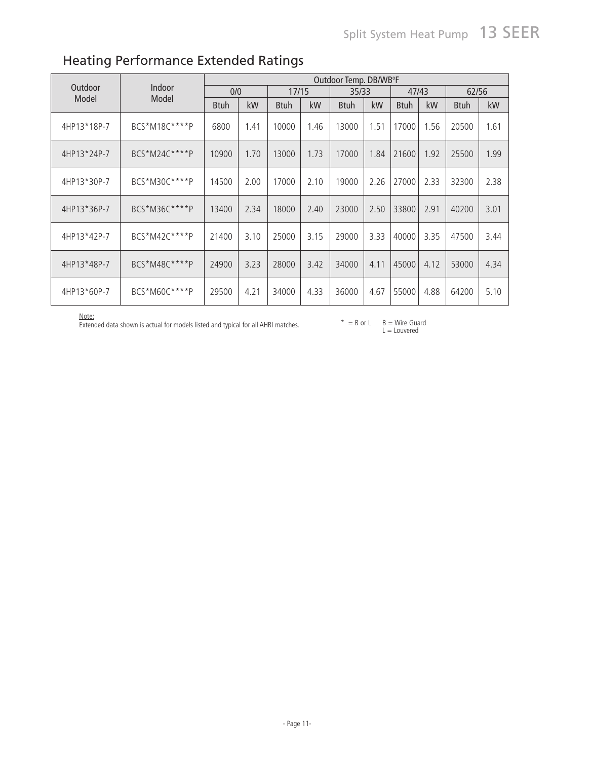|             |               |             |      |             |      | Outdoor Temp. DB/WB°F |      |             |      |             |      |
|-------------|---------------|-------------|------|-------------|------|-----------------------|------|-------------|------|-------------|------|
| Outdoor     | Indoor        | 0/0         |      | 17/15       |      | 35/33                 |      | 47/43       |      | 62/56       |      |
| Model       | Model         | <b>Btuh</b> | kW   | <b>Btuh</b> | kW   | <b>B</b> tuh          | kW   | <b>Btuh</b> | kW   | <b>Btuh</b> | kW   |
| 4HP13*18P-7 | BCS*M18C****P | 6800        | 1.41 | 10000       | 1.46 | 13000                 | 1.51 | 17000       | 1.56 | 20500       | 1.61 |
| 4HP13*24P-7 | BCS*M24C****P | 10900       | 1.70 | 13000       | 1.73 | 17000                 | 1.84 | 21600       | 1.92 | 25500       | 1.99 |
| 4HP13*30P-7 | BCS*M30C****P | 14500       | 2.00 | 17000       | 2.10 | 19000                 | 2.26 | 27000       | 2.33 | 32300       | 2.38 |
| 4HP13*36P-7 | BCS*M36C****P | 13400       | 2.34 | 18000       | 2.40 | 23000                 | 2.50 | 33800       | 2.91 | 40200       | 3.01 |
| 4HP13*42P-7 | BCS*M42C****P | 21400       | 3.10 | 25000       | 3.15 | 29000                 | 3.33 | 40000       | 3.35 | 47500       | 3.44 |
| 4HP13*48P-7 | BCS*M48C****P | 24900       | 3.23 | 28000       | 3.42 | 34000                 | 4.11 | 45000       | 4.12 | 53000       | 4.34 |
| 4HP13*60P-7 | BCS*M60C****P | 29500       | 4.21 | 34000       | 4.33 | 36000                 | 4.67 | 55000       | 4.88 | 64200       | 5.10 |

# Heating Performance Extended Ratings

Note:<br>Extended data shown is actual for models listed and typical for all AHRI matches.  $* = B$  or L B = Wire Guard